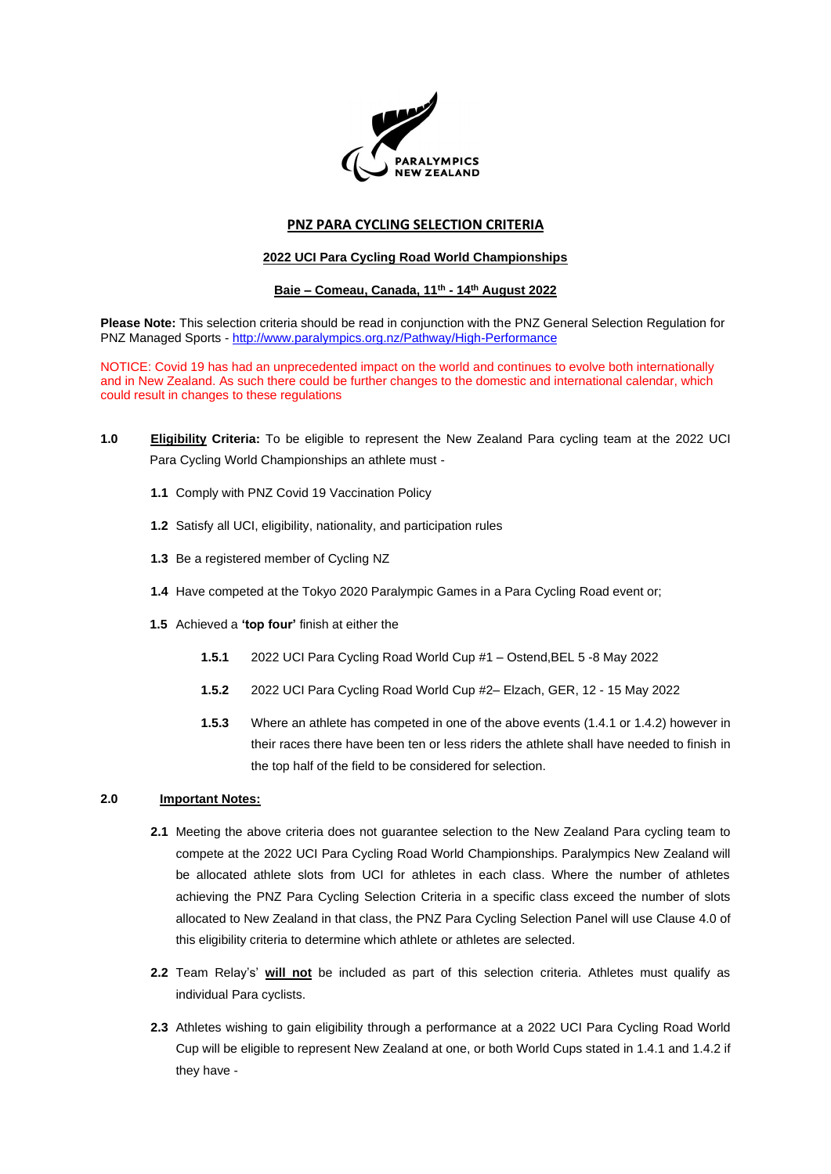

# **PNZ PARA CYCLING SELECTION CRITERIA**

## **2022 UCI Para Cycling Road World Championships**

## **Baie – Comeau, Canada, 11th - 14th August 2022**

**Please Note:** This selection criteria should be read in conjunction with the PNZ General Selection Regulation for PNZ Managed Sports - <http://www.paralympics.org.nz/Pathway/High-Performance>

NOTICE: Covid 19 has had an unprecedented impact on the world and continues to evolve both internationally and in New Zealand. As such there could be further changes to the domestic and international calendar, which could result in changes to these regulations

- **1.0 Eligibility Criteria:** To be eligible to represent the New Zealand Para cycling team at the 2022 UCI Para Cycling World Championships an athlete must -
	- **1.1** Comply with PNZ Covid 19 Vaccination Policy
	- **1.2** Satisfy all UCI, eligibility, nationality, and participation rules
	- **1.3** Be a registered member of Cycling NZ
	- **1.4** Have competed at the Tokyo 2020 Paralympic Games in a Para Cycling Road event or;
	- **1.5** Achieved a **'top four'** finish at either the
		- **1.5.1** 2022 UCI Para Cycling Road World Cup #1 Ostend,BEL 5 -8 May 2022
		- **1.5.2** 2022 UCI Para Cycling Road World Cup #2– Elzach, GER, 12 15 May 2022
		- **1.5.3** Where an athlete has competed in one of the above events (1.4.1 or 1.4.2) however in their races there have been ten or less riders the athlete shall have needed to finish in the top half of the field to be considered for selection.

## **2.0 Important Notes:**

- **2.1** Meeting the above criteria does not guarantee selection to the New Zealand Para cycling team to compete at the 2022 UCI Para Cycling Road World Championships. Paralympics New Zealand will be allocated athlete slots from UCI for athletes in each class. Where the number of athletes achieving the PNZ Para Cycling Selection Criteria in a specific class exceed the number of slots allocated to New Zealand in that class, the PNZ Para Cycling Selection Panel will use Clause 4.0 of this eligibility criteria to determine which athlete or athletes are selected.
- **2.2** Team Relay's' **will not** be included as part of this selection criteria. Athletes must qualify as individual Para cyclists.
- **2.3** Athletes wishing to gain eligibility through a performance at a 2022 UCI Para Cycling Road World Cup will be eligible to represent New Zealand at one, or both World Cups stated in 1.4.1 and 1.4.2 if they have -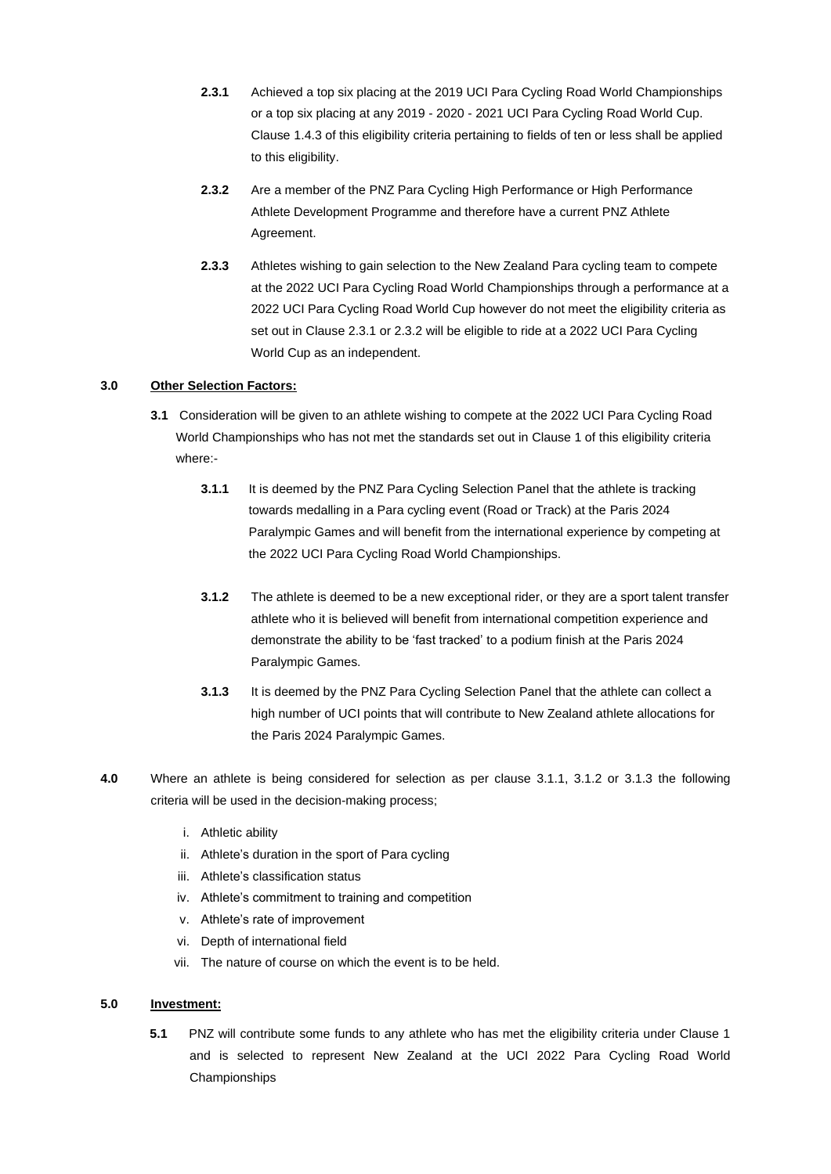- **2.3.1** Achieved a top six placing at the 2019 UCI Para Cycling Road World Championships or a top six placing at any 2019 - 2020 - 2021 UCI Para Cycling Road World Cup. Clause 1.4.3 of this eligibility criteria pertaining to fields of ten or less shall be applied to this eligibility.
- **2.3.2** Are a member of the PNZ Para Cycling High Performance or High Performance Athlete Development Programme and therefore have a current PNZ Athlete Agreement.
- **2.3.3** Athletes wishing to gain selection to the New Zealand Para cycling team to compete at the 2022 UCI Para Cycling Road World Championships through a performance at a 2022 UCI Para Cycling Road World Cup however do not meet the eligibility criteria as set out in Clause 2.3.1 or 2.3.2 will be eligible to ride at a 2022 UCI Para Cycling World Cup as an independent.

## **3.0 Other Selection Factors:**

- **3.1** Consideration will be given to an athlete wishing to compete at the 2022 UCI Para Cycling Road World Championships who has not met the standards set out in Clause 1 of this eligibility criteria where:-
	- **3.1.1** It is deemed by the PNZ Para Cycling Selection Panel that the athlete is tracking towards medalling in a Para cycling event (Road or Track) at the Paris 2024 Paralympic Games and will benefit from the international experience by competing at the 2022 UCI Para Cycling Road World Championships.
	- **3.1.2** The athlete is deemed to be a new exceptional rider, or they are a sport talent transfer athlete who it is believed will benefit from international competition experience and demonstrate the ability to be 'fast tracked' to a podium finish at the Paris 2024 Paralympic Games.
	- **3.1.3** It is deemed by the PNZ Para Cycling Selection Panel that the athlete can collect a high number of UCI points that will contribute to New Zealand athlete allocations for the Paris 2024 Paralympic Games.
- **4.0** Where an athlete is being considered for selection as per clause 3.1.1, 3.1.2 or 3.1.3 the following criteria will be used in the decision-making process;
	- i. Athletic ability
	- ii. Athlete's duration in the sport of Para cycling
	- iii. Athlete's classification status
	- iv. Athlete's commitment to training and competition
	- v. Athlete's rate of improvement
	- vi. Depth of international field
	- vii. The nature of course on which the event is to be held.

## **5.0 Investment:**

**5.1** PNZ will contribute some funds to any athlete who has met the eligibility criteria under Clause 1 and is selected to represent New Zealand at the UCI 2022 Para Cycling Road World Championships